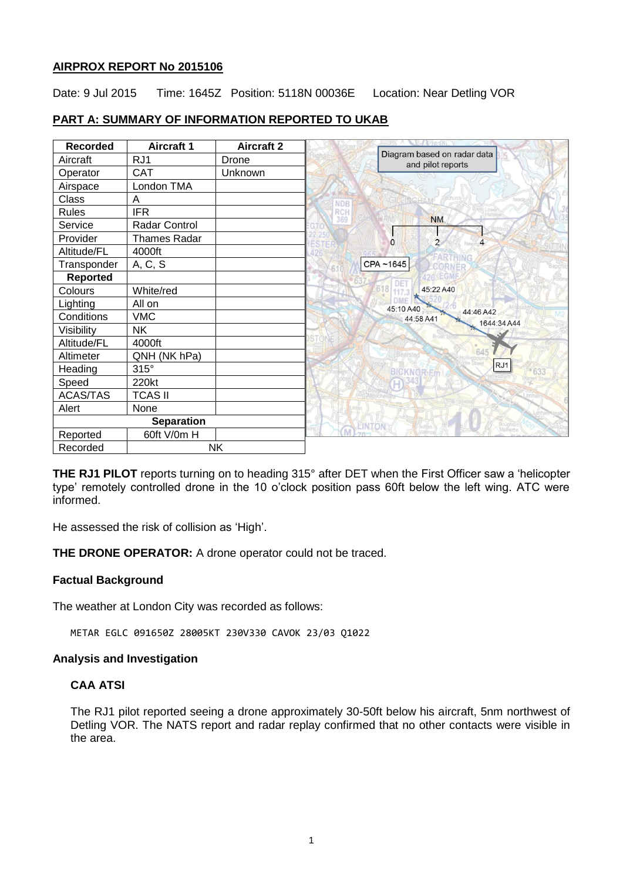### **AIRPROX REPORT No 2015106**

Date: 9 Jul 2015 Time: 1645Z Position: 5118N 00036E Location: Near Detling VOR

## **PART A: SUMMARY OF INFORMATION REPORTED TO UKAB**

| <b>Recorded</b>   | <b>Aircraft 1</b>    | <b>Aircraft 2</b> |                                                  |
|-------------------|----------------------|-------------------|--------------------------------------------------|
| Aircraft          | RJ1                  | Drone             | Diagram based on radar data<br>and pilot reports |
| Operator          | <b>CAT</b>           | Unknown           |                                                  |
| Airspace          | London TMA           |                   |                                                  |
| <b>Class</b>      | A                    |                   | <b>NDB</b>                                       |
| <b>Rules</b>      | <b>IFR</b>           |                   | RCH<br>369<br><b>NM</b>                          |
| Service           | <b>Radar Control</b> |                   |                                                  |
| Provider          | <b>Thames Radar</b>  |                   | $\overline{2}$<br>$\overline{4}$<br>$\Omega$     |
| Altitude/FL       | 4000ft               |                   |                                                  |
| Transponder       | A, C, S              |                   | CPA~1645                                         |
| <b>Reported</b>   |                      |                   |                                                  |
| Colours           | White/red            |                   | $618$ <sub>117</sub><br>45:22 A40                |
| Lighting          | All on               |                   | <b>DMF</b><br>45:10 A40                          |
| Conditions        | <b>VMC</b>           |                   | 44:46 A42<br>44:58 A41<br>1644:34 A44            |
| Visibility        | <b>NK</b>            |                   |                                                  |
| Altitude/FL       | 4000ft               |                   |                                                  |
| Altimeter         | QNH (NK hPa)         |                   | 645                                              |
| Heading           | $315^\circ$          |                   | RJ1<br><b>BICKNORER</b>                          |
| Speed             | 220kt                |                   |                                                  |
| <b>ACAS/TAS</b>   | <b>TCAS II</b>       |                   |                                                  |
| Alert             | None                 |                   |                                                  |
| <b>Separation</b> |                      |                   |                                                  |
| Reported          | 60ft V/0m H          |                   |                                                  |
| Recorded          | <b>NK</b>            |                   |                                                  |

**THE RJ1 PILOT** reports turning on to heading 315° after DET when the First Officer saw a 'helicopter type' remotely controlled drone in the 10 o'clock position pass 60ft below the left wing. ATC were informed.

He assessed the risk of collision as 'High'.

**THE DRONE OPERATOR:** A drone operator could not be traced.

## **Factual Background**

The weather at London City was recorded as follows:

METAR EGLC 091650Z 28005KT 230V330 CAVOK 23/03 Q1022

#### **Analysis and Investigation**

## **CAA ATSI**

The RJ1 pilot reported seeing a drone approximately 30-50ft below his aircraft, 5nm northwest of Detling VOR. The NATS report and radar replay confirmed that no other contacts were visible in the area.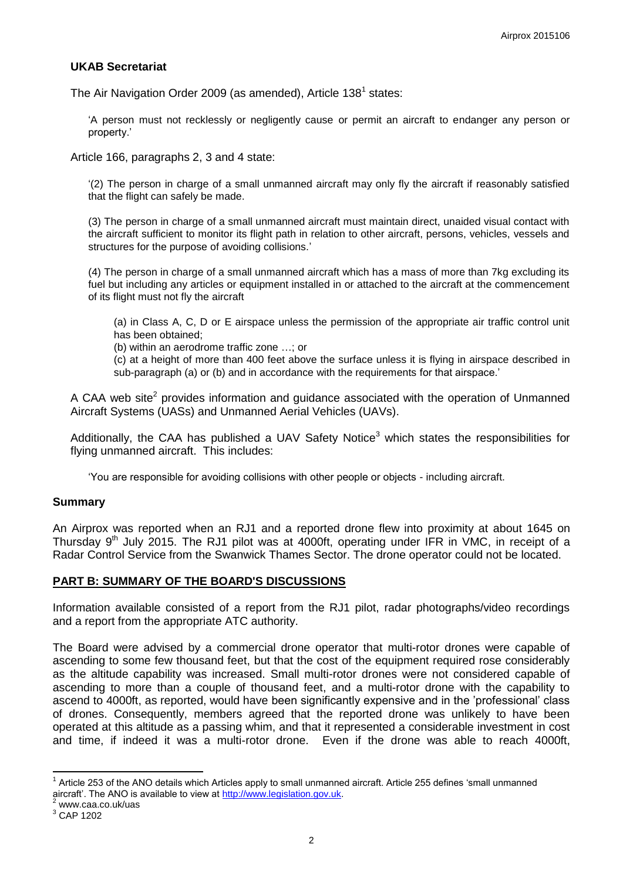### **UKAB Secretariat**

The Air Navigation Order 2009 (as amended), Article 138<sup>1</sup> states:

'A person must not recklessly or negligently cause or permit an aircraft to endanger any person or property.'

Article 166, paragraphs 2, 3 and 4 state:

'(2) The person in charge of a small unmanned aircraft may only fly the aircraft if reasonably satisfied that the flight can safely be made.

(3) The person in charge of a small unmanned aircraft must maintain direct, unaided visual contact with the aircraft sufficient to monitor its flight path in relation to other aircraft, persons, vehicles, vessels and structures for the purpose of avoiding collisions.'

(4) The person in charge of a small unmanned aircraft which has a mass of more than 7kg excluding its fuel but including any articles or equipment installed in or attached to the aircraft at the commencement of its flight must not fly the aircraft

(a) in Class A, C, D or E airspace unless the permission of the appropriate air traffic control unit has been obtained;

(b) within an aerodrome traffic zone …; or

(c) at a height of more than 400 feet above the surface unless it is flying in airspace described in sub-paragraph (a) or (b) and in accordance with the requirements for that airspace.'

A CAA web site<sup>2</sup> provides information and guidance associated with the operation of Unmanned Aircraft Systems (UASs) and Unmanned Aerial Vehicles (UAVs).

Additionally, the CAA has published a UAV Safety Notice<sup>3</sup> which states the responsibilities for flying unmanned aircraft. This includes:

'You are responsible for avoiding collisions with other people or objects - including aircraft.

#### **Summary**

An Airprox was reported when an RJ1 and a reported drone flew into proximity at about 1645 on Thursday  $9<sup>th</sup>$  July 2015. The RJ1 pilot was at 4000ft, operating under IFR in VMC, in receipt of a Radar Control Service from the Swanwick Thames Sector. The drone operator could not be located.

#### **PART B: SUMMARY OF THE BOARD'S DISCUSSIONS**

Information available consisted of a report from the RJ1 pilot, radar photographs/video recordings and a report from the appropriate ATC authority.

The Board were advised by a commercial drone operator that multi-rotor drones were capable of ascending to some few thousand feet, but that the cost of the equipment required rose considerably as the altitude capability was increased. Small multi-rotor drones were not considered capable of ascending to more than a couple of thousand feet, and a multi-rotor drone with the capability to ascend to 4000ft, as reported, would have been significantly expensive and in the 'professional' class of drones. Consequently, members agreed that the reported drone was unlikely to have been operated at this altitude as a passing whim, and that it represented a considerable investment in cost and time, if indeed it was a multi-rotor drone. Even if the drone was able to reach 4000ft,

 $\overline{a}$ 

 $1$  Article 253 of the ANO details which Articles apply to small unmanned aircraft. Article 255 defines 'small unmanned aircraft'. The ANO is available to view at [http://www.legislation.gov.uk.](http://www.legislation.gov.uk/)

www.caa.co.uk/uas

<sup>3</sup> CAP 1202